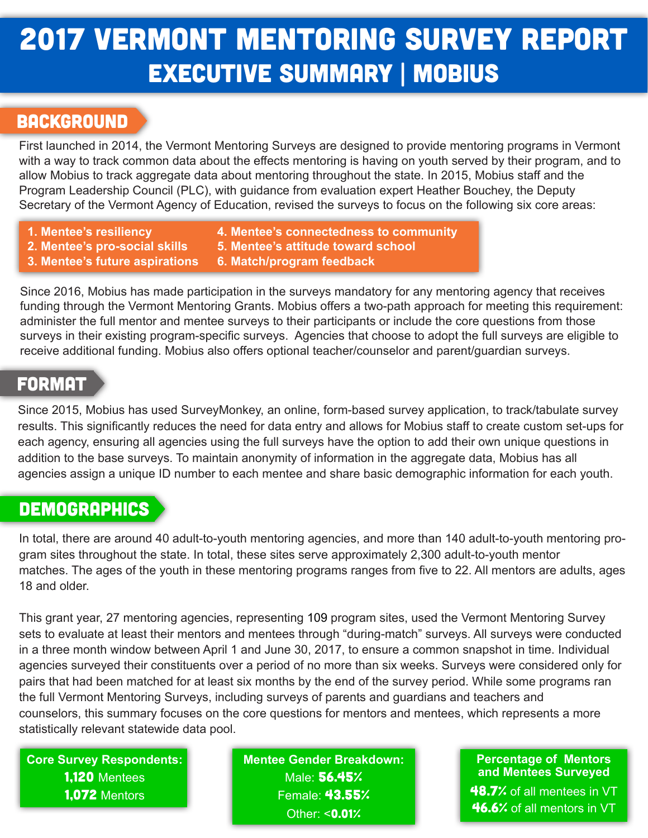# 2017 Vermont Mentoring Survey report executive summary | mobius

### **BACKGROUND**

First launched in 2014, the Vermont Mentoring Surveys are designed to provide mentoring programs in Vermont with a way to track common data about the effects mentoring is having on youth served by their program, and to allow Mobius to track aggregate data about mentoring throughout the state. In 2015, Mobius staff and the Program Leadership Council (PLC), with guidance from evaluation expert Heather Bouchey, the Deputy Secretary of the Vermont Agency of Education, revised the surveys to focus on the following six core areas:

- **1. Mentee's resiliency**
- **4. Mentee's connectedness to community**
- **2. Mentee's pro-social skills**
- **3. Mentee's future aspirations**
- **5. Mentee's attitude toward school 6. Match/program feedback**

Since 2016, Mobius has made participation in the surveys mandatory for any mentoring agency that receives funding through the Vermont Mentoring Grants. Mobius offers a two-path approach for meeting this requirement: administer the full mentor and mentee surveys to their participants or include the core questions from those surveys in their existing program-specific surveys. Agencies that choose to adopt the full surveys are eligible to receive additional funding. Mobius also offers optional teacher/counselor and parent/guardian surveys.

### **FORMAT**

Since 2015, Mobius has used SurveyMonkey, an online, form-based survey application, to track/tabulate survey results. This significantly reduces the need for data entry and allows for Mobius staff to create custom set-ups for each agency, ensuring all agencies using the full surveys have the option to add their own unique questions in addition to the base surveys. To maintain anonymity of information in the aggregate data, Mobius has all agencies assign a unique ID number to each mentee and share basic demographic information for each youth.

## **DEMOGRAPHICS**

In total, there are around 40 adult-to-youth mentoring agencies, and more than 140 adult-to-youth mentoring program sites throughout the state. In total, these sites serve approximately 2,300 adult-to-youth mentor matches. The ages of the youth in these mentoring programs ranges from five to 22. All mentors are adults, ages 18 and older.

This grant year, 27 mentoring agencies, representing 109 program sites, used the Vermont Mentoring Survey sets to evaluate at least their mentors and mentees through "during-match" surveys. All surveys were conducted in a three month window between April 1 and June 30, 2017, to ensure a common snapshot in time. Individual agencies surveyed their constituents over a period of no more than six weeks. Surveys were considered only for pairs that had been matched for at least six months by the end of the survey period. While some programs ran the full Vermont Mentoring Surveys, including surveys of parents and guardians and teachers and counselors, this summary focuses on the core questions for mentors and mentees, which represents a more statistically relevant statewide data pool.

**Core Survey Respondents:** 1,120 Mentees 1,072 Mentors

**Mentee Gender Breakdown:** Male: 56.45% Female: 43.55% Other: <**0.01%** 

#### **Percentage of Mentors and Mentees Surveyed**

48.7% of all mentees in VT 46.6% of all mentors in VT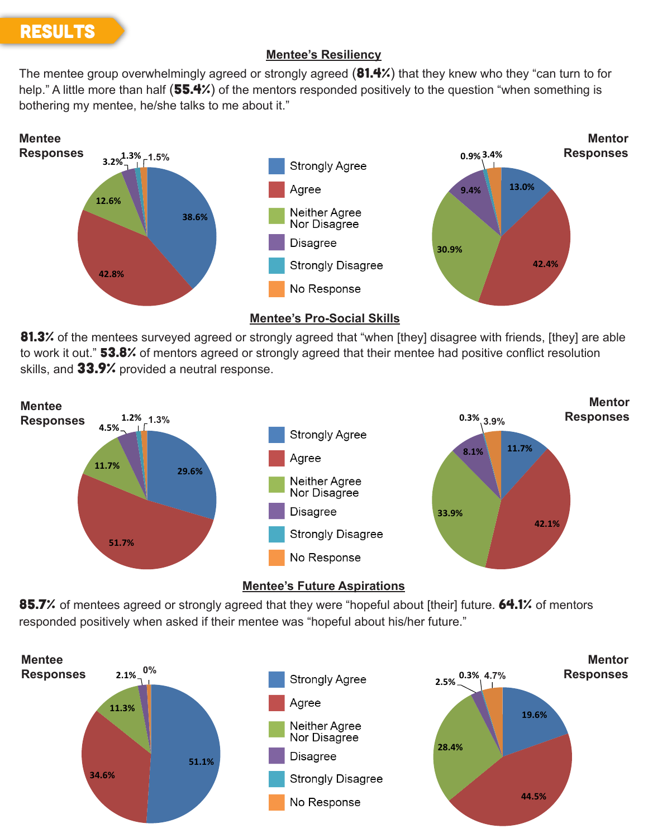# **RESULTS**

### **Mentee's Resiliency**

The mentee group overwhelmingly agreed or strongly agreed (81.4%) that they knew who they "can turn to for help." A little more than half (55.4%) of the mentors responded positively to the question "when something is bothering my mentee, he/she talks to me about it."









85.7% of mentees agreed or strongly agreed that they were "hopeful about [their] future. 64.1% of mentors responded positively when asked if their mentee was "hopeful about his/her future."

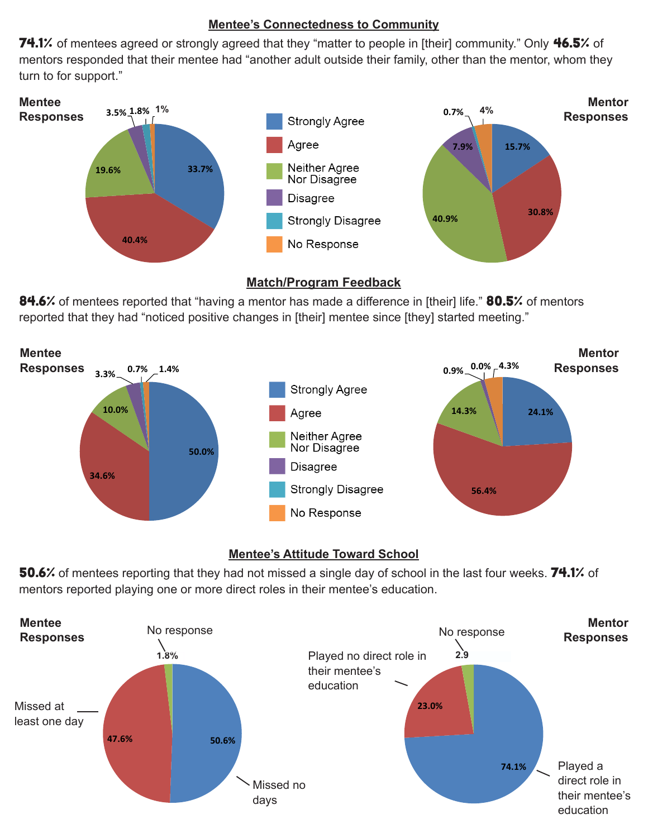#### **Mentee's Connectedness to Community**

74.1% of mentees agreed or strongly agreed that they "matter to people in [their] community." Only 46.5% of mentors responded that their mentee had "another adult outside their family, other than the mentor, whom they turn to for support."



#### **Match/Program Feedback**

84.6% of mentees reported that "having a mentor has made a difference in [their] life." 80.5% of mentors reported that they had "noticed positive changes in [their] mentee since [they] started meeting."



### **Mentee's Attitude Toward School**

50.6% of mentees reporting that they had not missed a single day of school in the last four weeks. 74.1% of mentors reported playing one or more direct roles in their mentee's education.